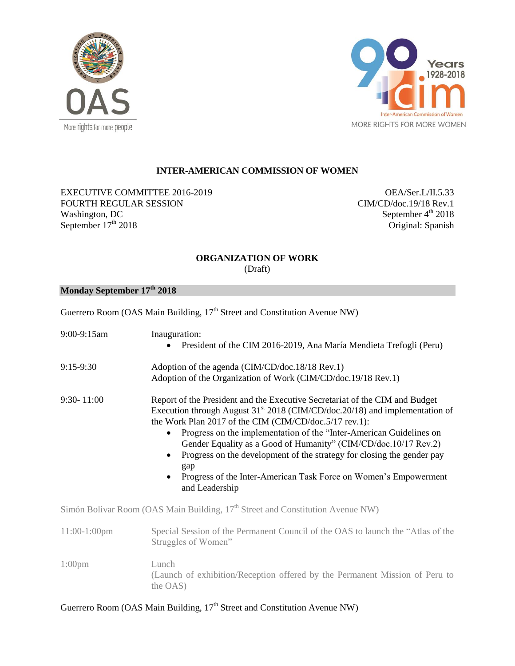



## **INTER-AMERICAN COMMISSION OF WOMEN**

EXECUTIVE COMMITTEE 2016-2019 FOURTH REGULAR SESSION Washington, DC September  $17<sup>th</sup>$  2018

OEA/Ser.L/II.5.33 CIM/CD/doc.19/18 Rev.1 September 4<sup>th</sup> 2018 Original: Spanish

## **ORGANIZATION OF WORK**

(Draft)

## **Monday September 17th 2018**

|                    | Guerrero Room (OAS Main Building, 17 <sup>th</sup> Street and Constitution Avenue NW)                                                                                                                                                                                                                                                                                                                                                                                                                                                                                                    |  |
|--------------------|------------------------------------------------------------------------------------------------------------------------------------------------------------------------------------------------------------------------------------------------------------------------------------------------------------------------------------------------------------------------------------------------------------------------------------------------------------------------------------------------------------------------------------------------------------------------------------------|--|
| 9:00-9:15am        | Inauguration:<br>President of the CIM 2016-2019, Ana María Mendieta Trefogli (Peru)                                                                                                                                                                                                                                                                                                                                                                                                                                                                                                      |  |
| $9:15-9:30$        | Adoption of the agenda (CIM/CD/doc.18/18 Rev.1)<br>Adoption of the Organization of Work (CIM/CD/doc.19/18 Rev.1)                                                                                                                                                                                                                                                                                                                                                                                                                                                                         |  |
| $9:30 - 11:00$     | Report of the President and the Executive Secretariat of the CIM and Budget<br>Execution through August 31 <sup>st</sup> 2018 (CIM/CD/doc.20/18) and implementation of<br>the Work Plan 2017 of the CIM (CIM/CD/doc.5/17 rev.1):<br>Progress on the implementation of the "Inter-American Guidelines on<br>$\bullet$<br>Gender Equality as a Good of Humanity" (CIM/CD/doc.10/17 Rev.2)<br>Progress on the development of the strategy for closing the gender pay<br>$\bullet$<br>gap<br>Progress of the Inter-American Task Force on Women's Empowerment<br>$\bullet$<br>and Leadership |  |
|                    | Simón Bolivar Room (OAS Main Building, 17 <sup>th</sup> Street and Constitution Avenue NW)                                                                                                                                                                                                                                                                                                                                                                                                                                                                                               |  |
| $11:00-1:00$ pm    | Special Session of the Permanent Council of the OAS to launch the "Atlas of the<br>Struggles of Women"                                                                                                                                                                                                                                                                                                                                                                                                                                                                                   |  |
| 1:00 <sub>pm</sub> | Lunch<br>(Launch of exhibition/Reception offered by the Permanent Mission of Peru to<br>the OAS)                                                                                                                                                                                                                                                                                                                                                                                                                                                                                         |  |

## Guerrero Room (OAS Main Building, 17<sup>th</sup> Street and Constitution Avenue NW)